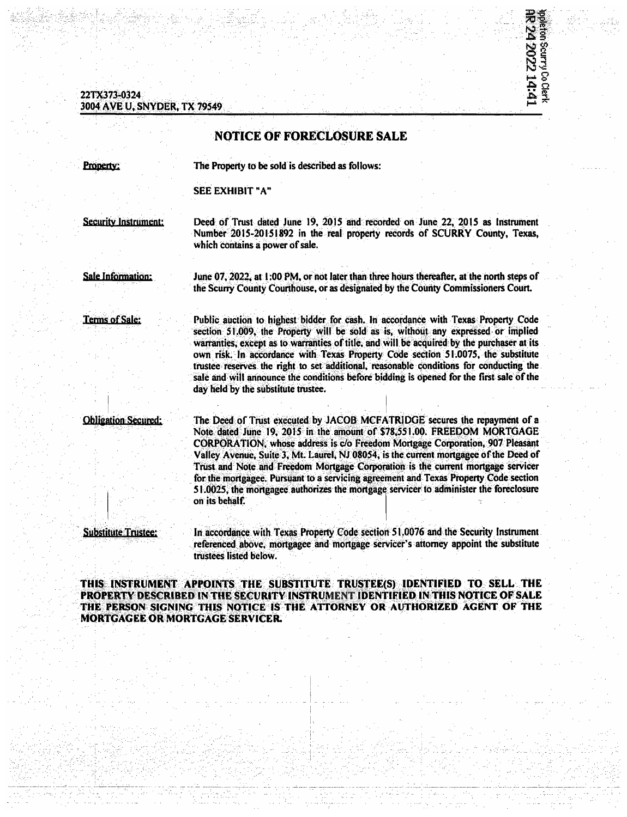## 22TX373-0324 3004 AVE U. SNYDER. TX 79549

## **NOTICE OF FORECLOSURE SALE**

Property:

The Property to be sold is described as follows:

**SEE EXHIBIT "A"** 

**Security Instrument:** 

Deed of Trust dated June 19, 2015 and recorded on June 22, 2015 as Instrument Number 2015-20151892 in the real property records of SCURRY County, Texas, which contains a power of sale.

ipation Scurry Co Clerk<br>**RR 24 2022 14:41** 

**Sale Information:** 

June 07, 2022, at 1:00 PM, or not later than three hours thereafter, at the north steps of the Scurry County Courthouse, or as designated by the County Commissioners Court.

**Terms of Sale:** 

Public auction to highest bidder for cash. In accordance with Texas Property Code section 51,009, the Property will be sold as is, without any expressed or implied warranties, except as to warranties of title, and will be acquired by the purchaser at its own risk. In accordance with Texas Property Code section 51.0075, the substitute trustee reserves the right to set additional, reasonable conditions for conducting the sale and will announce the conditions before bidding is opened for the first sale of the day held by the substitute trustee.

**Obligation Secured:** 

The Deed of Trust executed by JACOB MCFATRIDGE secures the repayment of a Note dated June 19, 2015 in the amount of \$78,551.00. FREEDOM MORTGAGE CORPORATION, whose address is c/o Freedom Mortgage Corporation, 907 Pleasant Valley Avenue, Suite 3, Mt. Laurel, NJ 08054, is the current mortgagee of the Deed of Trust and Note and Freedom Mortgage Corporation is the current mortgage servicer for the mortgagee. Pursuant to a servicing agreement and Texas Property Code section 51.0025, the mortgagee authorizes the mortgage servicer to administer the foreclosure on its behalf.

**Substitute Trustee:** 

In accordance with Texas Property Code section 51,0076 and the Security Instrument referenced above, mortgagee and mortgage servicer's attorney appoint the substitute trustees listed below.

THIS INSTRUMENT APPOINTS THE SUBSTITUTE TRUSTEE(S) IDENTIFIED TO SELL THE PROPERTY DESCRIBED IN THE SECURITY INSTRUMENT IDENTIFIED IN THIS NOTICE OF SALE THE PERSON SIGNING THIS NOTICE IS THE ATTORNEY OR AUTHORIZED AGENT OF THE **MORTGAGEE OR MORTGAGE SERVICER.**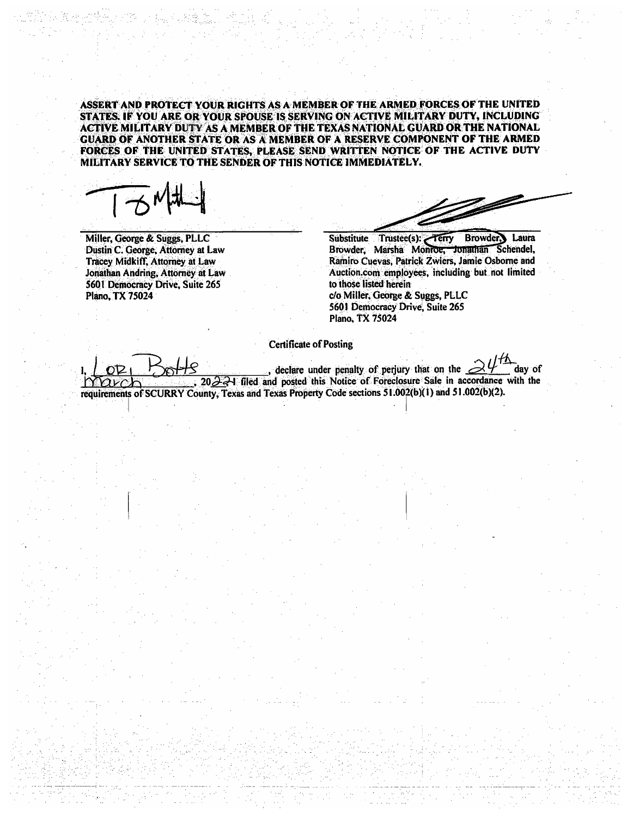ASSERT AND PROTECT YOUR RIGHTS AS A MEMBER OF THE ARMED FORCES OF THE UNITED STATES. IF YOU ARE OR YOUR SPOUSE IS SERVING ON ACTIVE MILITARY DUTY, INCLUDING ACTIVE MILITARY DUTY AS A MEMBER OF THE TEXAS NATIONAL GUARD OR THE NATIONAL **GUARD OF ANOTHER STATE OR AS A MEMBER OF A RESERVE COMPONENT OF THE ARMED** FORCES OF THE UNITED STATES, PLEASE SEND WRITTEN NOTICE OF THE ACTIVE DUTY MILITARY SERVICE TO THE SENDER OF THIS NOTICE IMMEDIATELY.

Miller, George & Suggs, PLLC Dustin C. George, Attorney at Law Tracey Midkiff, Attorney at Law Jonathan Andring, Attorney at Law 5601 Democracy Drive, Suite 265 Plano, TX 75024

 $\mathbb{Z}$ 

Substitute Trustee(s): Terry Browder. Laura Browder, Marsha Monroe, Jonathan Schendel. Ramiro Cuevas, Patrick Zwiers, Jamie Osborne and Auction.com employees, including but not limited to those listed herein c/o Miller, George & Suggs, PLLC 5601 Democracy Drive, Suite 265 Plano, TX 75024

**Certificate of Posting** 

, declare under penalty of perjury that on the  $\geq$ day of  $202$   $-1$  filed and posted this Notice of Foreclosure Sale in accordance with the requirements of SCURRY County, Texas and Texas Property Code sections 51.002(b)(1) and 51.002(b)(2).